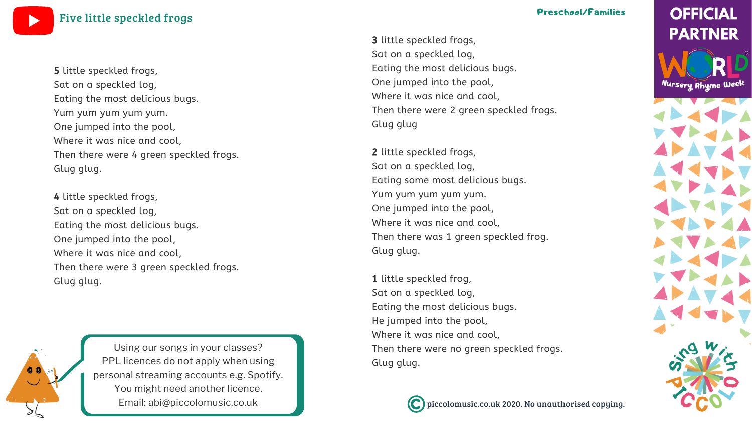piccolomusic.co.uk 2020. No unauthorised copying.

## **OFFICIAL PARTNER**

Nursery Rhyme Week



Using our songs in your [classes?](https://bit.ly/LicensingYOUTUBE) PPL licences do not apply when using personal [streaming](https://bit.ly/LicensingYOUTUBE) accounts e.g. Spotify. You might need [another](https://bit.ly/LicensingYOUTUBE) licence. Email: [abi@piccolomusic.co.uk](https://bit.ly/LicensingYOUTUBE)

Five little [speckled](https://bit.ly/WNRW2020YOUTUBE) frogs

### Preschool/Families

3 little speckled frogs, Sat on a speckled log, Eating the most delicious bugs. One jumped into the pool, Where it was nice and cool, Then there were 2 green speckled frogs. Glug glug

1 little speckled frog, Sat on a speckled log, Eating the most delicious bugs. He jumped into the pool, Where it was nice and cool, Then there were no green speckled frogs. Glug glug.



2 little speckled frogs, Sat on a speckled log, Eating some most delicious bugs. Yum yum yum yum yum. One jumped into the pool, Where it was nice and cool, Then there was 1 green speckled frog. Glug glug.

5 little speckled frogs, Sat on a speckled log, Eating the most delicious bugs. Yum yum yum yum yum. One jumped into the pool, Where it was nice and cool, Then there were 4 green speckled frogs. Glug glug.

4 little speckled frogs, Sat on a speckled log, Eating the most delicious bugs. One jumped into the pool, Where it was nice and cool, Then there were 3 green speckled frogs. Glug glug.

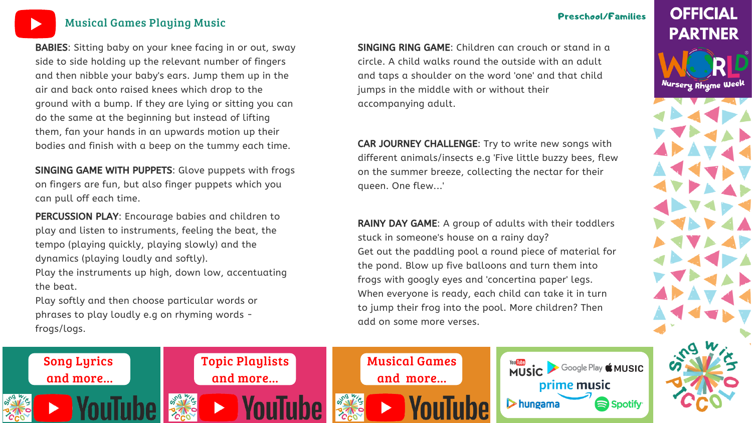

### [Musical](https://bit.ly/MusicalactivitiesYOUTUBE) Games Playing Music

### Preschool/Families

# **OFFICIAL PARTNER**

Nursery Rhyme Week







BABIES: Sitting baby on your knee facing in or out, sway side to side holding up the relevant number of fingers and then nibble your baby's ears. Jump them up in the air and back onto raised knees which drop to the ground with a bump. If they are lying or sitting you can do the same at the beginning but instead of lifting them, fan your hands in an upwards motion up their bodies and finish with a beep on the tummy each time.

SINGING GAME WITH PUPPETS: Glove puppets with frogs on fingers are fun, but also finger puppets which you can pull off each time.

SINGING RING GAME: Children can crouch or stand in a circle. A child walks round the outside with an adult and taps a shoulder on the word 'one' and that child jumps in the middle with or without their accompanying adult.

RAINY DAY GAME: A group of adults with their toddlers stuck in someone's house on a rainy day? Get out the paddling pool a round piece of material for the pond. Blow up five balloons and turn them into frogs with googly eyes and 'concertina paper' legs. When everyone is ready, each child can take it in turn to jump their frog into the pool. More children? Then add on some more verses.

PERCUSSION PLAY: Encourage babies and children to play and listen to instruments, feeling the beat, the tempo (playing quickly, playing slowly) and the dynamics (playing loudly and softly). Play the instruments up high, down low, accentuating

the beat. Play softly and then choose particular words or

phrases to play loudly e.g on rhyming words frogs/logs.

CAR JOURNEY CHALLENGE: Try to write new songs with different animals/insects e.g 'Five little buzzy bees, flew on the summer breeze, collecting the nectar for their

queen. One flew...'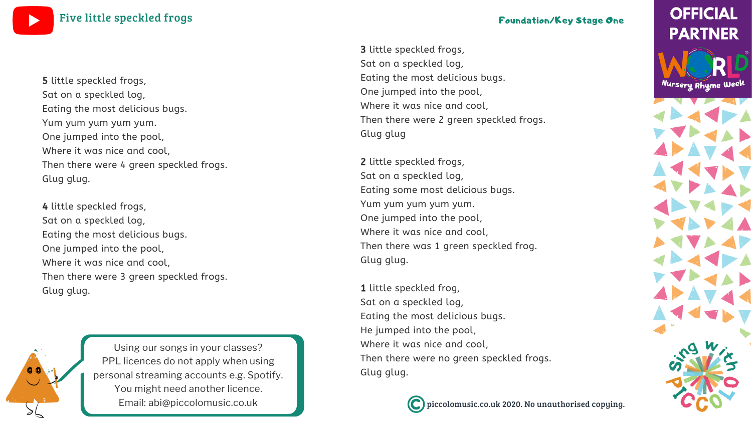piccolomusic.co.uk 2020. No unauthorised copying.

## **OFFICIAL PARTNER**

Nursery Rhyme Week



Using our songs in your [classes?](https://bit.ly/LicensingYOUTUBE) PPL licences do not apply when using personal [streaming](https://bit.ly/LicensingYOUTUBE) accounts e.g. Spotify. You might need [another](https://bit.ly/LicensingYOUTUBE) licence. Email: [abi@piccolomusic.co.uk](https://bit.ly/LicensingYOUTUBE)

3 little speckled frogs, Sat on a speckled log, Eating the most delicious bugs. One jumped into the pool, Where it was nice and cool, Then there were 2 green speckled frogs. Glug glug

2 little speckled frogs, Sat on a speckled log, Eating some most delicious bugs. Yum yum yum yum yum. One jumped into the pool, Where it was nice and cool, Then there was 1 green speckled frog. Glug glug.

1 little speckled frog, Sat on a speckled log, Eating the most delicious bugs. He jumped into the pool, Where it was nice and cool, Then there were no green speckled frogs. Glug glug.



Five little [speckled](https://bit.ly/WNRW2020YOUTUBE) frogs **Foundation/Key Stage One** 

5 little speckled frogs, Sat on a speckled log, Eating the most delicious bugs. Yum yum yum yum yum. One jumped into the pool, Where it was nice and cool, Then there were 4 green speckled frogs. Glug glug.

4 little speckled frogs, Sat on a speckled log, Eating the most delicious bugs. One jumped into the pool, Where it was nice and cool, Then there were 3 green speckled frogs. Glug glug.